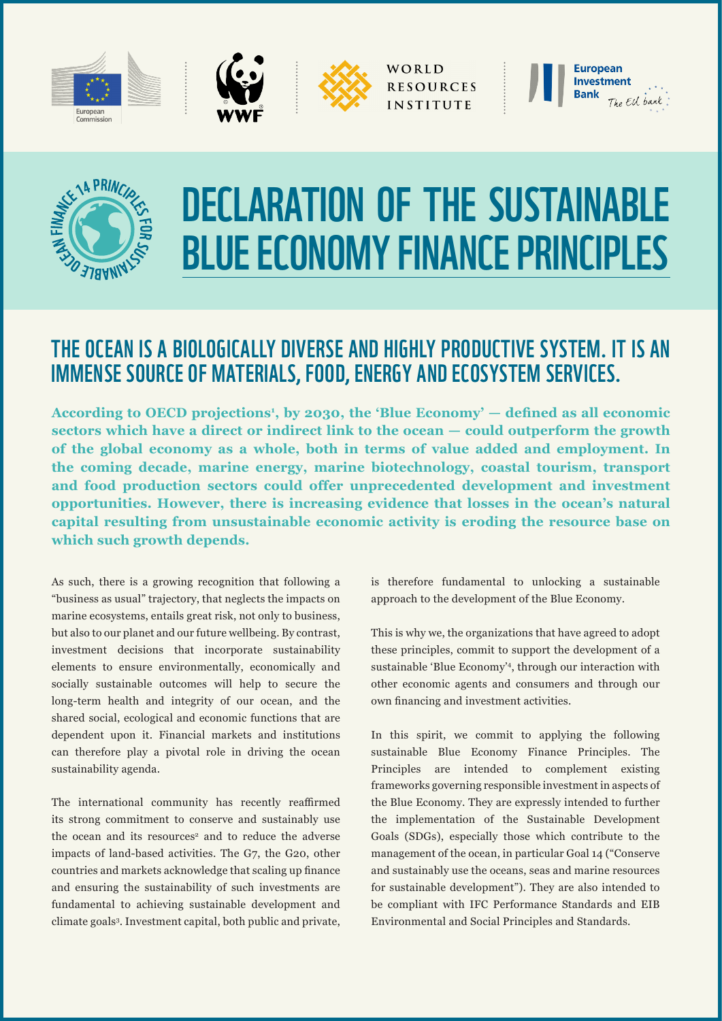

WORLD **RESOURCES INSTITUTE** 





## DECLARATION OF THE SUSTAINABLE BLUE ECONOMY FINANCE PRINCIPLES

## THE OCEAN IS A BIOLOGICALLY DIVERSE AND HIGHLY PRODUCTIVE SYSTEM. IT IS AN IMMENSE SOURCE OF MATERIALS, FOOD, ENERGY AND ECOSYSTEM SERVICES.

According to OECD projections<sup>1</sup>, by 2030, the 'Blue Economy' — defined as all economic **sectors which have a direct or indirect link to the ocean — could outperform the growth of the global economy as a whole, both in terms of value added and employment. In the coming decade, marine energy, marine biotechnology, coastal tourism, transport and food production sectors could offer unprecedented development and investment opportunities. However, there is increasing evidence that losses in the ocean's natural capital resulting from unsustainable economic activity is eroding the resource base on which such growth depends.**

As such, there is a growing recognition that following a "business as usual" trajectory, that neglects the impacts on marine ecosystems, entails great risk, not only to business, but also to our planet and our future wellbeing. By contrast, investment decisions that incorporate sustainability elements to ensure environmentally, economically and socially sustainable outcomes will help to secure the long-term health and integrity of our ocean, and the shared social, ecological and economic functions that are dependent upon it. Financial markets and institutions can therefore play a pivotal role in driving the ocean sustainability agenda.

The international community has recently reaffirmed its strong commitment to conserve and sustainably use the ocean and its resources<sup>2</sup> and to reduce the adverse impacts of land-based activities. The G7, the G20, other countries and markets acknowledge that scaling up finance and ensuring the sustainability of such investments are fundamental to achieving sustainable development and climate goals3 . Investment capital, both public and private, is therefore fundamental to unlocking a sustainable approach to the development of the Blue Economy.

This is why we, the organizations that have agreed to adopt these principles, commit to support the development of a sustainable 'Blue Economy'4, through our interaction with other economic agents and consumers and through our own financing and investment activities.

In this spirit, we commit to applying the following sustainable Blue Economy Finance Principles. The Principles are intended to complement existing frameworks governing responsible investment in aspects of the Blue Economy. They are expressly intended to further the implementation of the Sustainable Development Goals (SDGs), especially those which contribute to the management of the ocean, in particular Goal 14 ("Conserve and sustainably use the oceans, seas and marine resources for sustainable development"). They are also intended to be compliant with IFC Performance Standards and EIB Environmental and Social Principles and Standards.